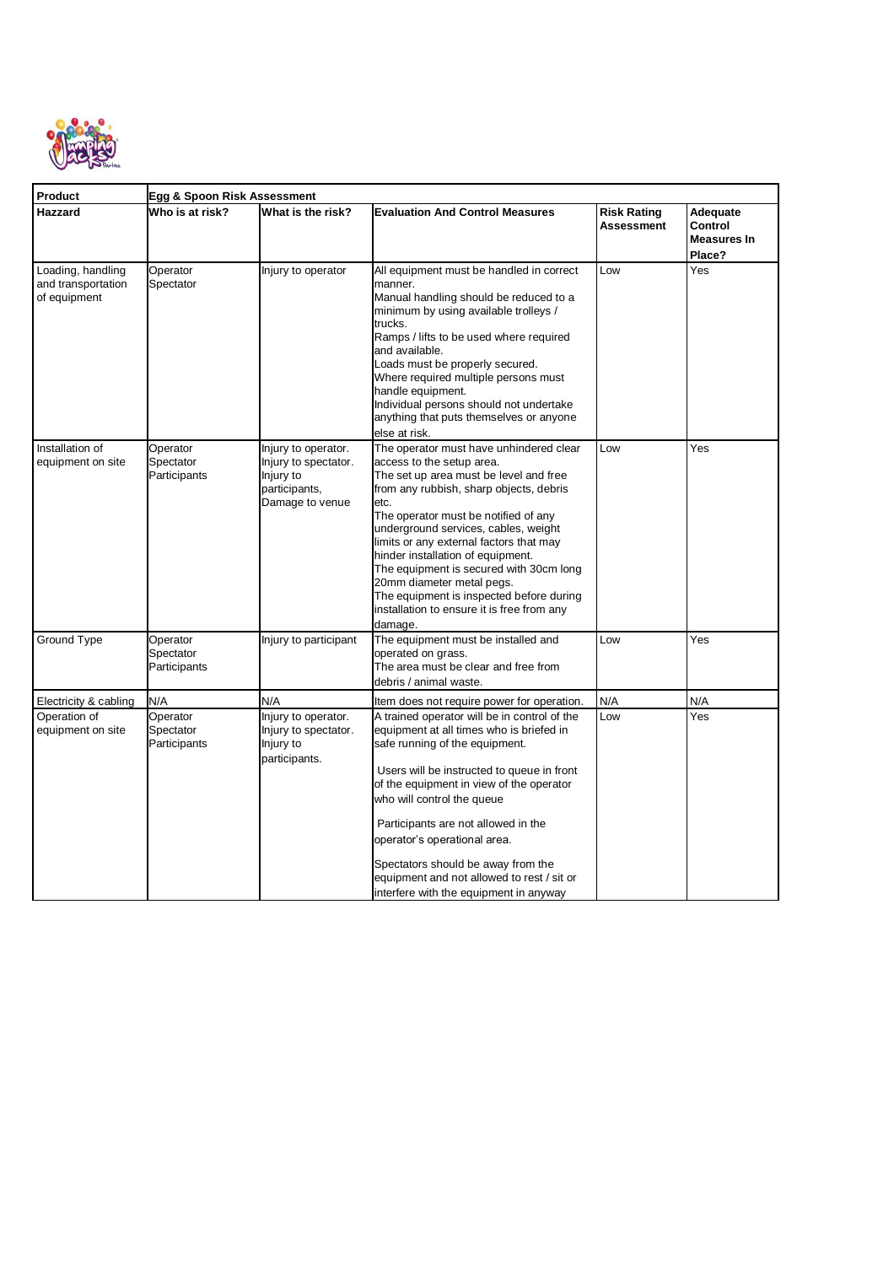

| Product                                                 | Egg & Spoon Risk Assessment           |                                                                                              |                                                                                                                                                                                                                                                                                                                                                                                                                                                                                                                |                                  |                                                     |  |  |
|---------------------------------------------------------|---------------------------------------|----------------------------------------------------------------------------------------------|----------------------------------------------------------------------------------------------------------------------------------------------------------------------------------------------------------------------------------------------------------------------------------------------------------------------------------------------------------------------------------------------------------------------------------------------------------------------------------------------------------------|----------------------------------|-----------------------------------------------------|--|--|
| Hazzard                                                 | Who is at risk?                       | What is the risk?                                                                            | <b>Evaluation And Control Measures</b>                                                                                                                                                                                                                                                                                                                                                                                                                                                                         | <b>Risk Rating</b><br>Assessment | Adequate<br>Control<br><b>Measures In</b><br>Place? |  |  |
| Loading, handling<br>and transportation<br>of equipment | Operator<br>Spectator                 | Injury to operator                                                                           | All equipment must be handled in correct<br>manner.<br>Manual handling should be reduced to a<br>minimum by using available trolleys /<br>trucks.<br>Ramps / lifts to be used where required<br>and available.<br>Loads must be properly secured.<br>Where required multiple persons must<br>handle equipment.<br>Individual persons should not undertake<br>anything that puts themselves or anyone<br>else at risk.                                                                                          | Low                              | Yes                                                 |  |  |
| Installation of<br>equipment on site                    | Operator<br>Spectator<br>Participants | Injury to operator.<br>Injury to spectator.<br>Injury to<br>participants,<br>Damage to venue | The operator must have unhindered clear<br>access to the setup area.<br>The set up area must be level and free<br>from any rubbish, sharp objects, debris<br>etc.<br>The operator must be notified of any<br>underground services, cables, weight<br>limits or any external factors that may<br>hinder installation of equipment.<br>The equipment is secured with 30cm long<br>20mm diameter metal pegs.<br>The equipment is inspected before during<br>installation to ensure it is free from any<br>damage. | Low                              | Yes                                                 |  |  |
| Ground Type                                             | Operator<br>Spectator<br>Participants | Injury to participant                                                                        | The equipment must be installed and<br>operated on grass.<br>The area must be clear and free from<br>debris / animal waste.                                                                                                                                                                                                                                                                                                                                                                                    | Low                              | Yes                                                 |  |  |
| Electricity & cabling                                   | N/A                                   | N/A                                                                                          | Item does not require power for operation.                                                                                                                                                                                                                                                                                                                                                                                                                                                                     | N/A                              | N/A                                                 |  |  |
| Operation of<br>equipment on site                       | Operator<br>Spectator<br>Participants | Injury to operator.<br>Injury to spectator.<br>Injury to<br>participants.                    | A trained operator will be in control of the<br>equipment at all times who is briefed in<br>safe running of the equipment.<br>Users will be instructed to queue in front<br>of the equipment in view of the operator<br>who will control the queue<br>Participants are not allowed in the<br>operator's operational area.<br>Spectators should be away from the<br>equipment and not allowed to rest / sit or<br>interfere with the equipment in anyway                                                        | Low                              | Yes                                                 |  |  |